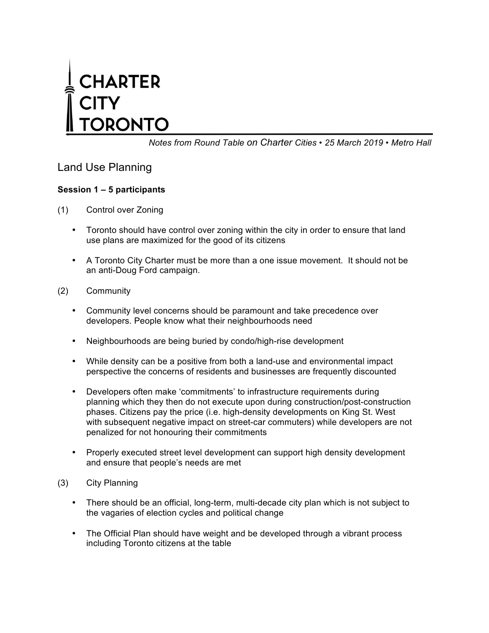# **CHARTER** RONTO

*Notes from Round Table on Charter Cities • 25 March 2019 • Metro Hall*

## Land Use Planning

### **Session 1 – 5 participants**

- (1) Control over Zoning
	- Toronto should have control over zoning within the city in order to ensure that land use plans are maximized for the good of its citizens
	- A Toronto City Charter must be more than a one issue movement. It should not be an anti-Doug Ford campaign.
- (2) Community
	- Community level concerns should be paramount and take precedence over developers. People know what their neighbourhoods need
	- Neighbourhoods are being buried by condo/high-rise development
	- While density can be a positive from both a land-use and environmental impact perspective the concerns of residents and businesses are frequently discounted
	- Developers often make 'commitments' to infrastructure requirements during planning which they then do not execute upon during construction/post-construction phases. Citizens pay the price (i.e. high-density developments on King St. West with subsequent negative impact on street-car commuters) while developers are not penalized for not honouring their commitments
	- Properly executed street level development can support high density development and ensure that people's needs are met
- (3) City Planning
	- There should be an official, long-term, multi-decade city plan which is not subject to the vagaries of election cycles and political change
	- The Official Plan should have weight and be developed through a vibrant process including Toronto citizens at the table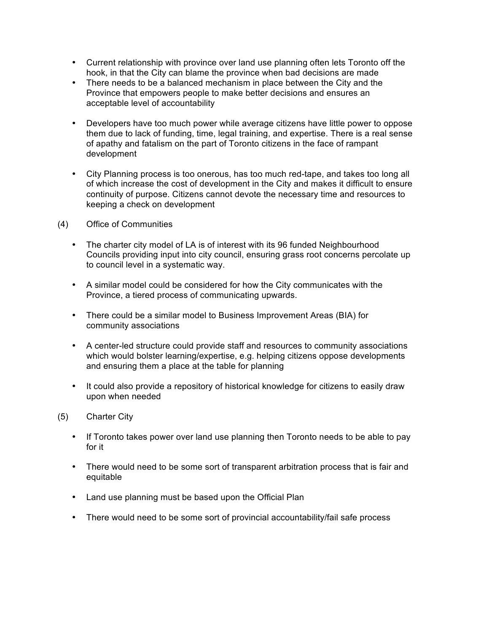- Current relationship with province over land use planning often lets Toronto off the hook, in that the City can blame the province when bad decisions are made
- There needs to be a balanced mechanism in place between the City and the Province that empowers people to make better decisions and ensures an acceptable level of accountability
- Developers have too much power while average citizens have little power to oppose them due to lack of funding, time, legal training, and expertise. There is a real sense of apathy and fatalism on the part of Toronto citizens in the face of rampant development
- City Planning process is too onerous, has too much red-tape, and takes too long all of which increase the cost of development in the City and makes it difficult to ensure continuity of purpose. Citizens cannot devote the necessary time and resources to keeping a check on development
- (4) Office of Communities
	- The charter city model of LA is of interest with its 96 funded Neighbourhood Councils providing input into city council, ensuring grass root concerns percolate up to council level in a systematic way.
	- A similar model could be considered for how the City communicates with the Province, a tiered process of communicating upwards.
	- There could be a similar model to Business Improvement Areas (BIA) for community associations
	- A center-led structure could provide staff and resources to community associations which would bolster learning/expertise, e.g. helping citizens oppose developments and ensuring them a place at the table for planning
	- It could also provide a repository of historical knowledge for citizens to easily draw upon when needed
- (5) Charter City
	- If Toronto takes power over land use planning then Toronto needs to be able to pay for it
	- There would need to be some sort of transparent arbitration process that is fair and equitable
	- Land use planning must be based upon the Official Plan
	- There would need to be some sort of provincial accountability/fail safe process